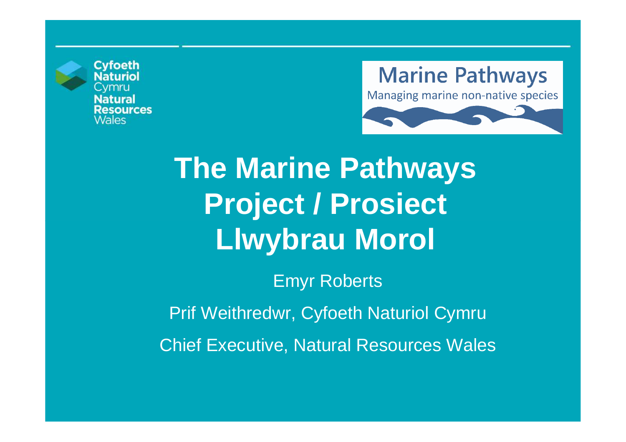

**Cyfoeth** Natural **esources** *Nales* 





# **The Marine Pathways Project / Prosiect Llwybrau Morol**

Emyr Roberts

Prif Weithredwr, Cyfoeth Naturiol Cymru

Chief Executive, Natural Resources Wales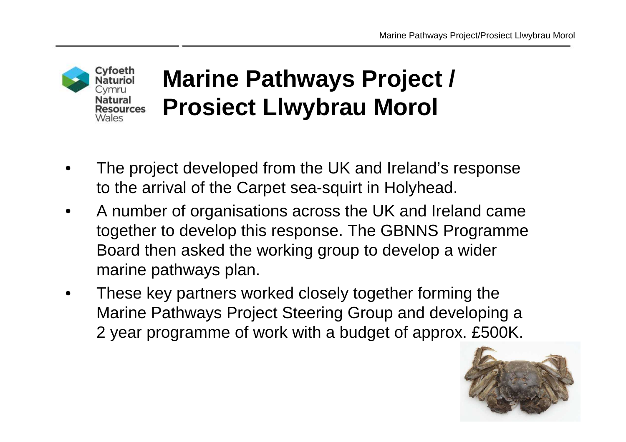

## **Marine Pathways Project / Prosiect Llwybrau Morol**

- • The project developed from the UK and Ireland's response to the arrival of the Carpet sea-squirt in Holyhead.
- $\bullet$  A number of organisations across the UK and Ireland came together to develop this response. The GBNNS Programme Board then asked the working group to develop a wider marine pathways plan.
- • These key partners worked closely together forming the Marine Pathways Project Steering Group and developing a 2 year programme of work with a budget of approx. £500K.

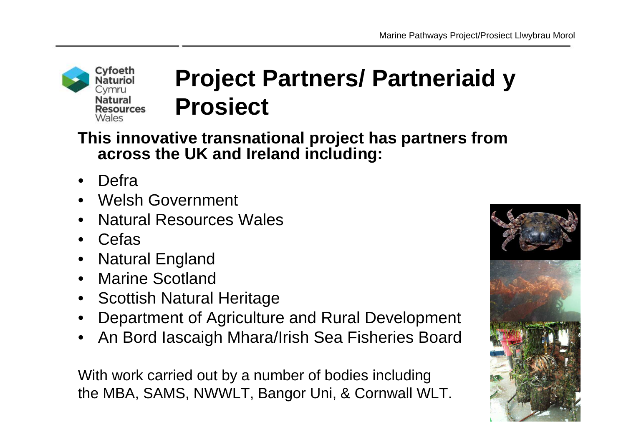### Cyfoeth Naturiol Cvmru Natural Resources **Wales**

### **Project Partners/ Partneriaid y Prosiect**

**This innovative transnational project has partners from across the UK and Ireland including:**

- $\bullet$ Defra
- Welsh Government
- •Natural Resources Wales
- Cefas
- Natural England $\bullet$
- Marine Scotland $\bullet$
- Scottish Natural Heritage
- Department of Agriculture and Rural Development •
- •An Bord Iascaigh Mhara/Irish Sea Fisheries Board

With work carried out by a number of bodies including the MBA, SAMS, NWWLT, Bangor Uni, & Cornwall WLT.

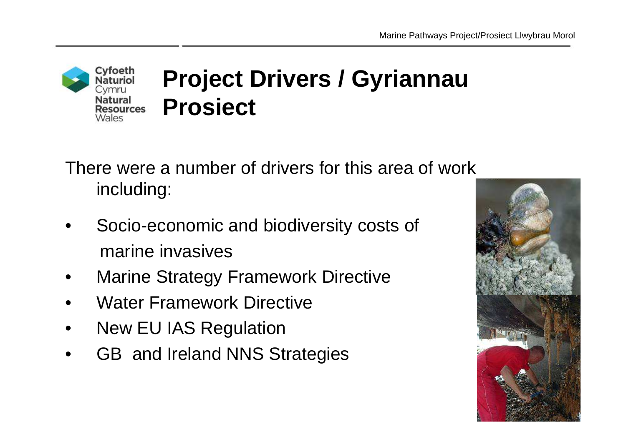

There were a number of drivers for this area of work including:

- • Socio-economic and biodiversity costs of marine invasives
- •Marine Strategy Framework Directive
- •Water Framework Directive
- •New EU IAS Regulation
- •GB and Ireland NNS Strategies

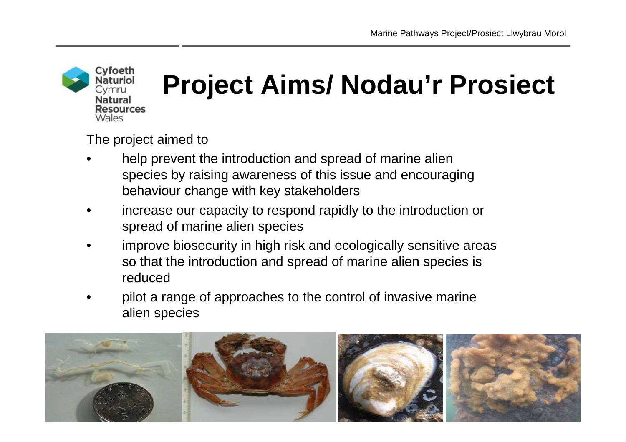

The project aimed to

- • help prevent the introduction and spread of marine alien species by raising awareness of this issue and encouraging behaviour change with key stakeholders
- • increase our capacity to respond rapidly to the introduction or spread of marine alien species
- • improve biosecurity in high risk and ecologically sensitive areas so that the introduction and spread of marine alien species is reduced
- pilot a range of approaches to the control of invasive marine •alien species